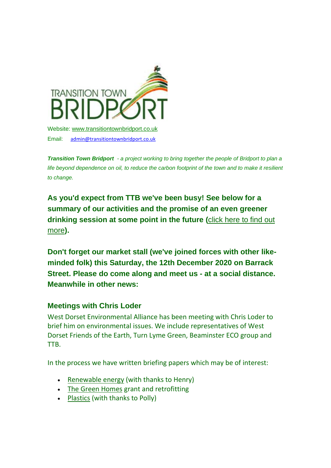

Email: [admin@transitiontownbridport.co.uk](mailto:admin@transitiontownbridport.co.uk)

*Transition Town Bridport - a project working to bring together the people of Bridport to plan a*  life beyond dependence on oil, to reduce the carbon footprint of the town and to make it resilient *to change.*

**As you'd expect from TTB we've been busy! See below for a summary of our activities and the promise of an even greener drinking session at some point in the future (**[click here to find out](https://transitiontownbridport.us13.list-manage.com/track/click?u=c5fcbeedffae114d69833f643&id=66bf49485c&e=7424f95957)  [more](https://transitiontownbridport.us13.list-manage.com/track/click?u=c5fcbeedffae114d69833f643&id=66bf49485c&e=7424f95957)**).**

**Don't forget our market stall (we've joined forces with other likeminded folk) this Saturday, the 12th December 2020 on Barrack Street. Please do come along and meet us - at a social distance. Meanwhile in other news:**

## **Meetings with Chris Loder**

West Dorset Environmental Alliance has been meeting with Chris Loder to brief him on environmental issues. We include representatives of West Dorset Friends of the Earth, Turn Lyme Green, Beaminster ECO group and TTB.

In the process we have written briefing papers which may be of interest:

- [Renewable energy](https://transitiontownbridport.us13.list-manage.com/track/click?u=c5fcbeedffae114d69833f643&id=e64513ca3e&e=7424f95957) (with thanks to Henry)
- [The Green Homes](https://transitiontownbridport.us13.list-manage.com/track/click?u=c5fcbeedffae114d69833f643&id=d58fec6cbe&e=7424f95957) grant and retrofitting
- [Plastics](https://transitiontownbridport.us13.list-manage.com/track/click?u=c5fcbeedffae114d69833f643&id=7737d834a1&e=7424f95957) (with thanks to Polly)